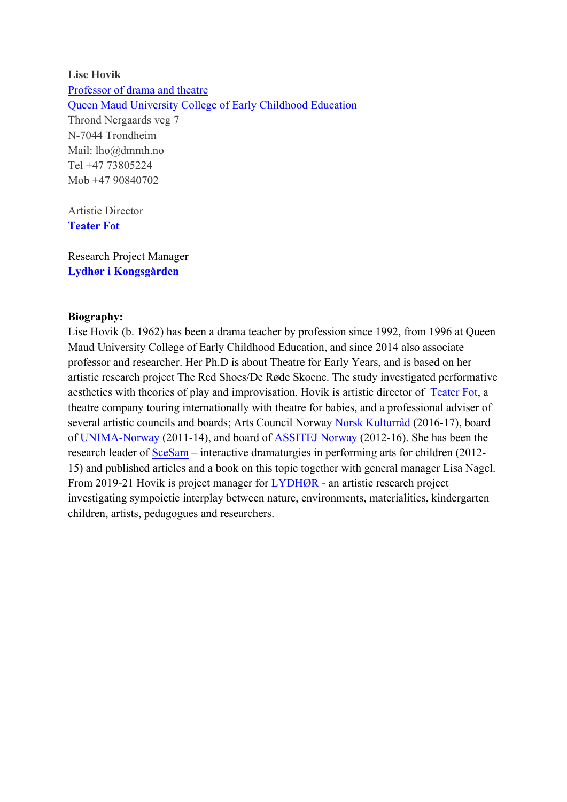## **Lise Hovik** Professor of drama and theatre Queen Maud University College of Early Childhood Education Thrond Nergaards veg 7 N-7044 Trondheim Mail: lho@dmmh.no Tel +47 73805224 Mob +47 90840702

Artistic Director **Teater Fot**

Research Project Manager **Lydhør i Kongsgården**

## **Biography:**

Lise Hovik (b. 1962) has been a drama teacher by profession since 1992, from 1996 at Queen Maud University College of Early Childhood Education, and since 2014 also associate professor and researcher. Her Ph.D is about Theatre for Early Years, and is based on her artistic research project The Red Shoes/De Røde Skoene. The study investigated performative aesthetics with theories of play and improvisation. Hovik is artistic director of Teater Fot, a theatre company touring internationally with theatre for babies, and a professional adviser of several artistic councils and boards; Arts Council Norway Norsk Kulturråd (2016-17), board of UNIMA-Norway (2011-14), and board of ASSITEJ Norway (2012-16). She has been the research leader of SceSam – interactive dramaturgies in performing arts for children (2012- 15) and published articles and a book on this topic together with general manager Lisa Nagel. From 2019-21 Hovik is project manager for LYDHØR - an artistic research project investigating sympoietic interplay between nature, environments, materialities, kindergarten children, artists, pedagogues and researchers.